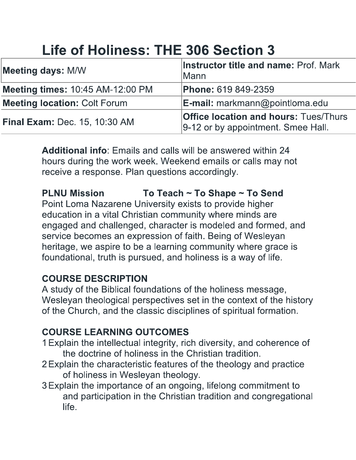# **Life of Holiness: THE 306 Section 3**

| <b>Meeting days: M/W</b>                | Instructor title and name: Prof. Mark<br><b>Mann</b>                               |
|-----------------------------------------|------------------------------------------------------------------------------------|
| <b>Meeting times: 10:45 AM-12:00 PM</b> | <b>Phone: 619 849-2359</b>                                                         |
| <b>Meeting location: Colt Forum</b>     | $E$ -mail: markmann@pointloma.edu                                                  |
| <b>Final Exam: Dec. 15, 10:30 AM</b>    | <b>Office location and hours: Tues/Thurs</b><br>9-12 or by appointment. Smee Hall. |

**Additional info:** Emails and calls will be answered within 24 hours during the work week. Weekend emails or calls may not receive a response. Plan questions accordingly.

To Teach ~ To Shape ~ To Send **PLNU Mission** Point Loma Nazarene University exists to provide higher education in a vital Christian community where minds are engaged and challenged, character is modeled and formed, and service becomes an expression of faith. Being of Wesleyan heritage, we aspire to be a learning community where grace is foundational, truth is pursued, and holiness is a way of life.

#### **COURSE DESCRIPTION**

A study of the Biblical foundations of the holiness message, Wesleyan theological perspectives set in the context of the history of the Church, and the classic disciplines of spiritual formation.

# **COURSE LEARNING OUTCOMES**

- 1 Explain the intellectual integrity, rich diversity, and coherence of the doctrine of holiness in the Christian tradition.
- 2 Explain the characteristic features of the theology and practice of holiness in Wesleyan theology.
- 3 Explain the importance of an ongoing, lifelong commitment to and participation in the Christian tradition and congregational life.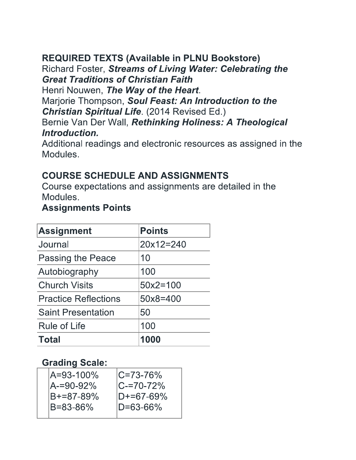## **REQUIRED TEXTS (Available in PLNU Bookstore)**

## Richard Foster, Streams of Living Water: Celebrating the **Great Traditions of Christian Faith**

Henri Nouwen, The Way of the Heart.

Marjorie Thompson, Soul Feast: An Introduction to the **Christian Spiritual Life.** (2014 Revised Ed.)

#### Bernie Van Der Wall, Rethinking Holiness: A Theological Introduction.

Additional readings and electronic resources as assigned in the Modules.

## **COURSE SCHEDULE AND ASSIGNMENTS**

Course expectations and assignments are detailed in the Modules.

#### **Assignments Points**

| <b>Assignment</b>           | Points       |
|-----------------------------|--------------|
| Journal                     | $20x12=240$  |
| <b>Passing the Peace</b>    | 10           |
| Autobiography               | 100          |
| <b>Church Visits</b>        | $50x2 = 100$ |
| <b>Practice Reflections</b> | 50x8=400     |
| <b>Saint Presentation</b>   | 50           |
| <b>Rule of Life</b>         | 100          |
| <b>Total</b>                | 1000         |

## **Grading Scale:**

| A=93-100%               | $ C = 73 - 76\%$           |
|-------------------------|----------------------------|
| lA-=90-92%<br>B+=87-89% | $ C=70-72\%$<br>ID+=67-69% |
| IB=83-86%               | $ID = 63 - 66\%$           |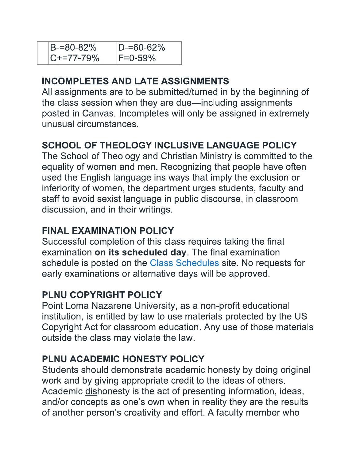| B-=80-82%       | $ D=60-62\%$ |
|-----------------|--------------|
| $ C+ = 77-79\%$ | $ F=0-59\%$  |

# **INCOMPLETES AND LATE ASSIGNMENTS**

All assignments are to be submitted/turned in by the beginning of the class session when they are due-including assignments posted in Canvas. Incompletes will only be assigned in extremely unusual circumstances.

# **SCHOOL OF THEOLOGY INCLUSIVE LANGUAGE POLICY**

The School of Theology and Christian Ministry is committed to the equality of women and men. Recognizing that people have often used the English language ins ways that imply the exclusion or inferiority of women, the department urges students, faculty and staff to avoid sexist language in public discourse, in classroom discussion, and in their writings.

## **FINAL EXAMINATION POLICY**

Successful completion of this class requires taking the final examination on its scheduled day. The final examination schedule is posted on the Class Schedules site. No requests for early examinations or alternative days will be approved.

# PLNU COPYRIGHT POLICY

Point Loma Nazarene University, as a non-profit educational institution, is entitled by law to use materials protected by the US Copyright Act for classroom education. Any use of those materials outside the class may violate the law.

# PLNU ACADEMIC HONESTY POLICY

Students should demonstrate academic honesty by doing original work and by giving appropriate credit to the ideas of others. Academic dishonesty is the act of presenting information, ideas, and/or concepts as one's own when in reality they are the results of another person's creativity and effort. A faculty member who